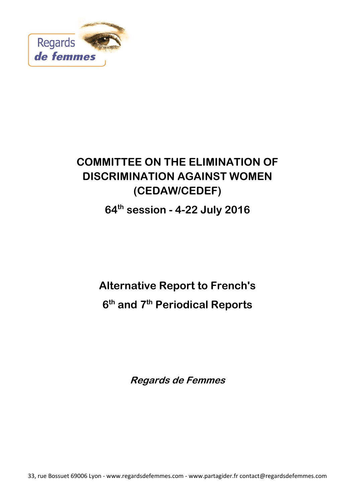

# **COMMITTEE ON THE ELIMINATION OF DISCRIMINATION AGAINST WOMEN (CEDAW/CEDEF)**

# **64th session - 4-22 July 2016**

# **Alternative Report to French's 6 th and 7th Periodical Reports**

**Regards de Femmes**

33, rue Bossuet 69006 Lyon - www.regardsdefemmes.com - www.partagider.fr contact@regardsdefemmes.com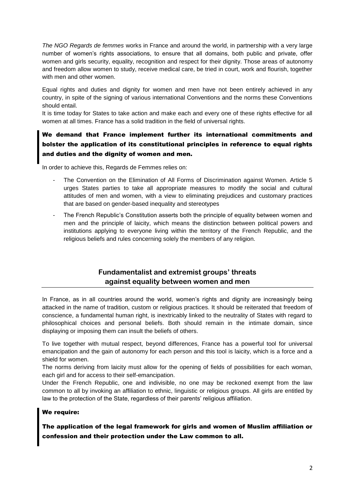*The NGO Regards de femmes* works in France and around the world, in partnership with a very large number of women's rights associations, to ensure that all domains, both public and private, offer women and girls security, equality, recognition and respect for their dignity. Those areas of autonomy and freedom allow women to study, receive medical care, be tried in court, work and flourish, together with men and other women.

Equal rights and duties and dignity for women and men have not been entirely achieved in any country, in spite of the signing of various international Conventions and the norms these Conventions should entail.

It is time today for States to take action and make each and every one of these rights effective for all women at all times. France has a solid tradition in the field of universal rights.

# We demand that France implement further its international commitments and bolster the application of its constitutional principles in reference to equal rights and duties and the dignity of women and men.

In order to achieve this, Regards de Femmes relies on:

- The Convention on the Elimination of All Forms of Discrimination against Women. Article 5 urges States parties to take all appropriate measures to modify the social and cultural attitudes of men and women, with a view to eliminating prejudices and customary practices that are based on gender-based inequality and stereotypes
- The French Republic's Constitution asserts both the principle of equality between women and men and the principle of laicity, which means the distinction between political powers and institutions applying to everyone living within the territory of the French Republic, and the religious beliefs and rules concerning solely the members of any religion.

# **Fundamentalist and extremist groups' threats against equality between women and men**

In France, as in all countries around the world, women's rights and dignity are increasingly being attacked in the name of tradition, custom or religious practices. It should be reiterated that freedom of conscience, a fundamental human right, is inextricably linked to the neutrality of States with regard to philosophical choices and personal beliefs. Both should remain in the intimate domain, since displaying or imposing them can insult the beliefs of others.

To live together with mutual respect, beyond differences, France has a powerful tool for universal emancipation and the gain of autonomy for each person and this tool is laicity, which is a force and a shield for women.

The norms deriving from laicity must allow for the opening of fields of possibilities for each woman, each girl and for access to their self-emancipation.

Under the French Republic, one and indivisible, no one may be reckoned exempt from the law common to all by invoking an affiliation to ethnic, linguistic or religious groups. All girls are entitled by law to the protection of the State, regardless of their parents' religious affiliation.

#### We require:

# The application of the legal framework for girls and women of Muslim affiliation or confession and their protection under the Law common to all.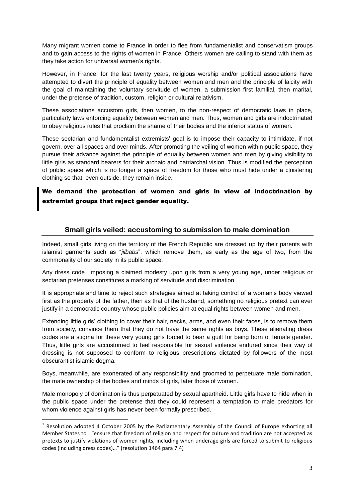Many migrant women come to France in order to flee from fundamentalist and conservatism groups and to gain access to the rights of women in France. Others women are calling to stand with them as they take action for universal women's rights.

However, in France, for the last twenty years, religious worship and/or political associations have attempted to divert the principle of equality between women and men and the principle of laicity with the goal of maintaining the voluntary servitude of women, a submission first familial, then marital, under the pretense of tradition, custom, religion or cultural relativism.

These associations accustom girls, then women, to the non-respect of democratic laws in place, particularly laws enforcing equality between women and men. Thus, women and girls are indoctrinated to obey religious rules that proclaim the shame of their bodies and the inferior status of women.

These sectarian and fundamentalist extremists' goal is to impose their capacity to intimidate, if not govern, over all spaces and over minds. After promoting the veiling of women within public space, they pursue their advance against the principle of equality between women and men by giving visibility to little girls as standard bearers for their archaic and patriarchal vision. Thus is modified the perception of public space which is no longer a space of freedom for those who must hide under a cloistering clothing so that, even outside, they remain inside.

We demand the protection of women and girls in view of indoctrination by extremist groups that reject gender equality.

#### **Small girls veiled: accustoming to submission to male domination**

Indeed, small girls living on the territory of the French Republic are dressed up by their parents with islamist garments such as "*jilbabs*", which remove them, as early as the age of two, from the commonality of our society in its public space.

Any dress code<sup>1</sup> imposing a claimed modesty upon girls from a very young age, under religious or sectarian pretenses constitutes a marking of servitude and discrimination.

It is appropriate and time to reject such strategies aimed at taking control of a woman's body viewed first as the property of the father, then as that of the husband, something no religious pretext can ever justify in a democratic country whose public policies aim at equal rights between women and men.

Extending little girls' clothing to cover their hair, necks, arms, and even their faces, is to remove them from society, convince them that they do not have the same rights as boys. These alienating dress codes are a stigma for these very young girls forced to bear a guilt for being born of female gender. Thus, little girls are accustomed to feel responsible for sexual violence endured since their way of dressing is not supposed to conform to religious prescriptions dictated by followers of the most obscurantist islamic dogma.

Boys, meanwhile, are exonerated of any responsibility and groomed to perpetuate male domination, the male ownership of the bodies and minds of girls, later those of women.

Male monopoly of domination is thus perpetuated by sexual apartheid. Little girls have to hide when in the public space under the pretense that they could represent a temptation to male predators for whom violence against girls has never been formally prescribed.

**.** 

<sup>&</sup>lt;sup>1</sup> Resolution adopted 4 October 2005 by the Parliamentary Assembly of the Council of Europe exhorting all Member States to : "ensure that freedom of religion and respect for culture and tradition are not accepted as pretexts to justify violations of women rights, including when underage girls are forced to submit to religious codes (including dress codes)…" (resolution 1464 para 7.4)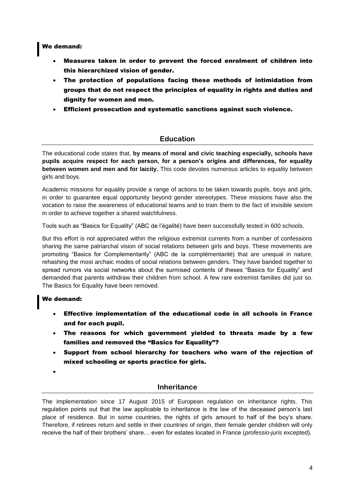#### We demand:

- Measures taken in order to prevent the forced enrolment of children into this hierarchized vision of gender.
- The protection of populations facing these methods of intimidation from groups that do not respect the principles of equality in rights and duties and dignity for women and men.
- Efficient prosecution and systematic sanctions against such violence.

#### **Education**

The educational code states that, **by means of moral and civic teaching especially, schools have pupils acquire respect for each person, for a person's origins and differences, for equality between women and men and for laicity.** This code devotes numerous articles to equality between girls and boys.

Academic missions for equality provide a range of actions to be taken towards pupils, boys and girls, in order to guarantee equal opportunity beyond gender stereotypes. These missions have also the vocation to raise the awareness of educational teams and to train them to the fact of invisible sexism in order to achieve together a shared watchfulness.

Tools such as "Basics for Equality" (ABC de l'égalité) have been successfully tested in 600 schools.

But this effort is not appreciated within the religious extremist currents from a number of confessions sharing the same patriarchal vision of social relations between girls and boys. These movements are promoting "Basics for Complementarity" (ABC de la complémentarité) that are unequal in nature, rehashing the most archaic modes of social relations between genders. They have banded together to spread rumors via social networks about the surmised contents of theses "Basics for Equality" and demanded that parents withdraw their children from school. A few rare extremist families did just so. The Basics for Equality have been removed.

# We demand:

- Effective implementation of the educational code in all schools in France and for each pupil.
- The reasons for which government yielded to threats made by a few families and removed the "Basics for Equality"?
- Support from school hierarchy for teachers who warn of the rejection of mixed schooling or sports practice for girls.
- $\bullet$

# **Inheritance**

The implementation since 17 August 2015 of European regulation on inheritance rights. This regulation points out that the law applicable to inheritance is the law of the deceased person's last place of residence. But in some countries, the rights of girls amount to half of the boy's share. Therefore, if retirees return and settle in their countries of origin, their female gender children will only receive the half of their brothers' share… even for estates located in France (*professio-juris* excepted).